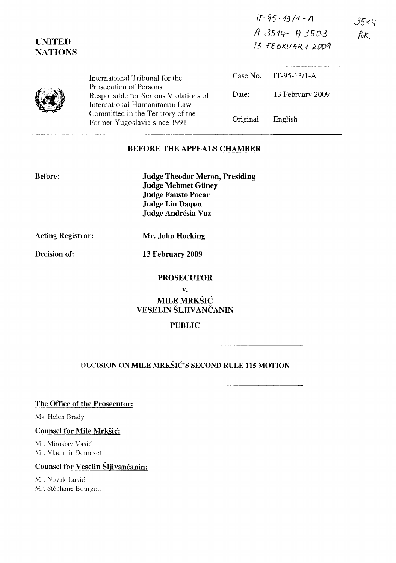| $11 - 95 - 13/1 - A$ |
|----------------------|
| $A3514 - A3503$      |
| 13 FEBRUARY 2009     |

|  | International Tribunal for the                                                                    |           | Case No. IT-95-13/1-A |
|--|---------------------------------------------------------------------------------------------------|-----------|-----------------------|
|  | Prosecution of Persons<br>Responsible for Serious Violations of<br>International Humanitarian Law | Date:     | 13 February 2009      |
|  | Committed in the Territory of the<br>Former Yugoslavia since 1991                                 | Original: | English               |

#### BEFORE THE APPEALS CHAMBER

| <b>Judge Theodor Meron, Presiding</b> |
|---------------------------------------|
| <b>Judge Mehmet Güney</b>             |
| <b>Judge Fausto Pocar</b>             |
| <b>Judge Liu Daqun</b>                |
| Judge Andrésia Vaz                    |
|                                       |

Acting Registrar:

Decision of:

Before:

UNITED **NATIONS** 

Mr. John Hocking

13 February 2009

#### PROSECUTOR

v.

**MILE MRKŠIĆ** VESELIN SLJIVANCANIN

### PUBLIC

# DECISION ON MILE MRKSIC'S SECOND RULE 115 MOTION

## The Office of the Prosecutor:

Ms. Helen Brady

#### Counsel for Mile Mrksic:

Mr. Miroslav Vasic' Mr. Vladimir Domazet

# Counsel for Veselin Šljivančanin:

Mr. Novak Lukic Mr. Stéphane Bourgon 3544 fik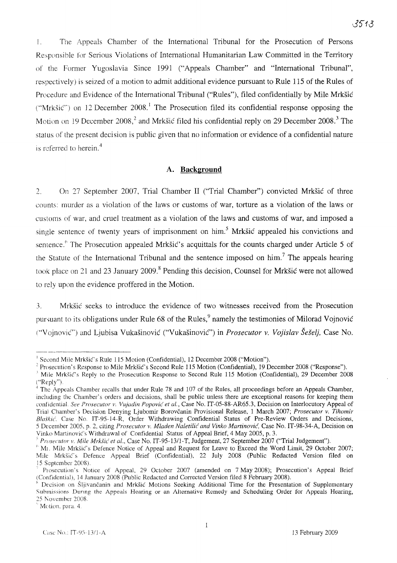1. The Appeals Chamber of the International Tribunal for the Prosecution of Persons Responsible for Serious Violations of International Humanitarian Law Committed in the Territory of the Former Yugoslavia Since 1991 ("Appeals Chamber" and "International Tribunal", respectively) is seized of a motion to admit additional evidence pursuant to Rule 115 of the Rules of Procedure and Evidence of the International Tribunal ("Rules"), filed confidentially by Mile Mrksic ("Mrkšić") on 12 December 2008.<sup>1</sup> The Prosecution filed its confidential response opposing the Motion on 19 December 2008,<sup>2</sup> and Mrkšić filed his confidential reply on 29 December 2008.<sup>3</sup> The status of the present decision is public given that no information or evidence of a confidential nature is referred to herein. $<sup>4</sup>$ </sup>

## **A. Background**

2. On 27 September 2007, Trial Chamber II ("Trial Chamber") convicted Mrksic of three counts: murder as a violation of the laws or customs of war, torture as a violation of the laws or customs of war, and cruel treatment as a violation of the laws and customs of war, and imposed a single sentence of twenty years of imprisonment on him.<sup>5</sup> Mrkšić appealed his convictions and sentence.<sup>6</sup> The Prosecution appealed Mrkšić's acquittals for the counts charged under Article 5 of the Statute of the International Tribunal and the sentence imposed on him.? The appeals hearing took place on 21 and 23 January 2009.<sup>8</sup> Pending this decision, Counsel for Mrkšić were not allowed to rely upon the evidence proffered in the Motion.

3. Mrksic seeks to introduce the evidence of two witnesses received from the Prosecution pursuant to its obligations under Rule 68 of the Rules,  $9$  namely the testimonies of Milorad Vojnović ("VojnoviC") and Ljubisa Vukasinovic ("Vukasinovic") in *Prosecutor* v. *Vo)islav SeSel),* Case No.

<sup>&</sup>lt;sup>1</sup> Second Mile Mrkšić's Rule 115 Motion (Confidential), 12 December 2008 ("Motion").

<sup>&</sup>lt;sup>2</sup> Prosecution's Response to Mile Mrkšić's Second Rule 115 Motion (Confidential), 19 December 2008 ("Response").

 $\Lambda$  Mile Mrkšić's Reply to the Prosecution Response to Second Rule 115 Motion (Confidential), 29 December 2008 ("Reply").

<sup>&</sup>lt;sup>4</sup> The Appeals Chamber recalls that under Rule 78 and 107 of the Rules, all proceedings before an Appeals Chamber, including the Chamber's orders and decisions, shall be public unless there are exceptional reasons for keeping them confidential *Sa Prosecutor* v. vujadin *Popovic et al.,* Case No. IT-05-88-AR65.3, Decision on Interlocutory Appeal of Trial Chamber's Decision Denying Ljubomir Borovcanin Provisional Release, 1 March 2007; *Prosecutor v. Tihomir* Blaskic, Case No. IT-95-l4-R, Order Withdrawing Confidential Status of Pre-Review Orders and Decisions, 5 December *20OS,* p. 2, citing *Prosecutor v. Mladen Naletilic and Vinko Martinovic,* Case No. IT-98-34-A, Decision on Vinko Martinovic's Withdrawal of Confidential Status of Appeal Brief, 4 May 2005, p. 3.

<sup>)</sup> *Prosecutor v. Mile Mrksic et al.,* Case No. IT-95-1311-T, Judgement, 27 September 2007 ("Trial Judgement").

<sup>&</sup>lt;sup>6</sup> Mr. Mile Mrkšić's Defence Notice of Appeal and Request for Leave to Exceed the Word Limit, 29 October 2007; Mile Mrkšić's Defence Appeal Brief (Confidential), 22 July 2008 (Public Redacted Version filed on 15 September 20(8).

Prosecution's Notice of Appeal, 29 October 2007 (amended on 7 May 2008); Prosecution's Appeal Brief (Confidential), 14 January 2008 (Public Redacted and Corrected Version filed 8 February 2008).

Decision on Šljivančanin and Mrkšić Motions Seeking Additional Time for the Presentation of Supplementary Submissions During the Appeals Hearing or an Alternative Remedy and Scheduling Order for Appeals Hearing, 25 November 2008

<sup>&</sup>lt;sup>0</sup> Motion, para. 4.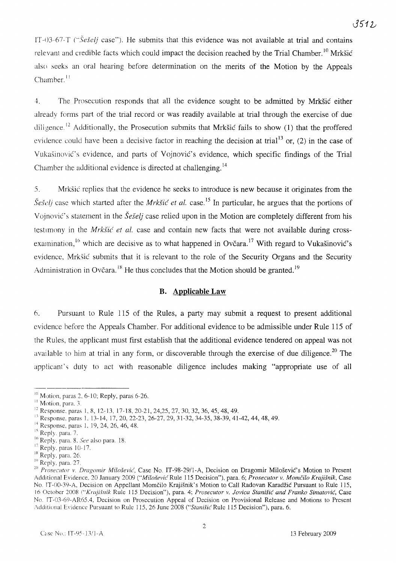IT-03-67-T (" $\check{S}e\check{S}elj$  case"). He submits that this evidence was not available at trial and contains relevant and credible facts which could impact the decision reached by the Trial Chamber.<sup>10</sup> Mrkšić also seeks an oral hearing before determination on the merits of the Motion by the Appeals Chamber. $<sup>11</sup>$ </sup>

4. The Prosecution responds that all the evidence sought to be admitted by Mrksic either already forms part of the trial record or was readily available at trial through the exercise of due diligence.<sup>12</sup> Additionally, the Prosecution submits that Mrkšić fails to show (1) that the proffered evidence could have been a decisive factor in reaching the decision at trial<sup>13</sup> or, (2) in the case of Vukasinovic's evidence, and parts of Vojnovic's evidence, which specific findings of the Trial Chamber the additional evidence is directed at challenging. <sup>14</sup>

5. Mrksic replies that the evidence he seeks to introduce is new because it originates from the *Sesel]* case which started after the *Mrksic et al.* case. <sup>15</sup> In particular, he argues that the portions of Vojnović's statement in the *Šešelj* case relied upon in the Motion are completely different from his testimony in the *Mrkšić et al.* case and contain new facts that were not available during crossexamination, <sup>16</sup> which are decisive as to what happened in Ovčara.<sup>17</sup> With regard to Vukašinović's evidence, Mrksic submits that it is relevant to the role of the Security Organs and the Security Administration in Ovčara.<sup>18</sup> He thus concludes that the Motion should be granted.<sup>19</sup>

## **B. Applicable Law**

6. Pursuant to Rule 115 of the Rules, a party may submit a request to present additional evidence before the Appeals Chamber. For additional evidence to be admissible under Rule 115 of the Rules, the applicant must first establish that the additional evidence tendered on appeal was not available to him at trial in any form, or discoverable through the exercise of due diligence.<sup>20</sup> The applicant's duty to act with reasonable diligence includes making "appropriate use of all

<sup>--------------</sup>  $\frac{10}{10}$  Motion, paras 2, 6-10; Reply, paras 6-26.

<sup>&</sup>lt;sup>11</sup> Motion, para. 3.

<sup>&</sup>lt;sup>12</sup> Response, paras 1, 8, 12-13, 17-18, 20-21, 24,25, 27, 30, 32, 36, 45, 48, 49.

<sup>&</sup>lt;sup>13</sup> Response, paras 1, 13-14, 17, 20, 22-23, 26-27, 29, 31-32, 34-35, 38-39, 41-42, 44, 48, 49.

<sup>&</sup>lt;sup>14</sup> Response, paras 1, 19, 24, 26, 46, 48.<br><sup>15</sup> Reply. para. 7.

<sup>&</sup>lt;sup>16</sup> Reply. para. 8. See also para. 18.

Reply. paras 10-17.

<sup>&</sup>lt;sup>18</sup> Reply, para. 26.

<sup>&</sup>lt;sup>19</sup> Reply, para. 27.

*<sup>20</sup> Prosecutor* v. *Dragomir Milosevic,* Case No. IT-98-29/l-A, Decision on Dragomir Milosevic's Motion to Present Additional Evidence, 20 January 2009 ("Milošević Rule 115 Decision"), para. 6; Prosecutor v. Momčilo Krajišnik, Case No. IT-OO-39-A, Decision on Appellant Momcilo Krajisnik's Motion to Call Radovan Karadzic Pursuant to Rule 115, 16 October 2008 ("Krajišnik Rule 115 Decision"), para. 4; *Prosecutor v. Jovica Stanišić and Franko Simatović*, Case No. fT-03-69-AR65.4, Decision on Prosecution Appeal of Decision on Provisional Release and Motions to Present Additional Evidence Pursuant to Rule 115, 26 June 2008 ("Stanišić Rule 115 Decision"), para. 6.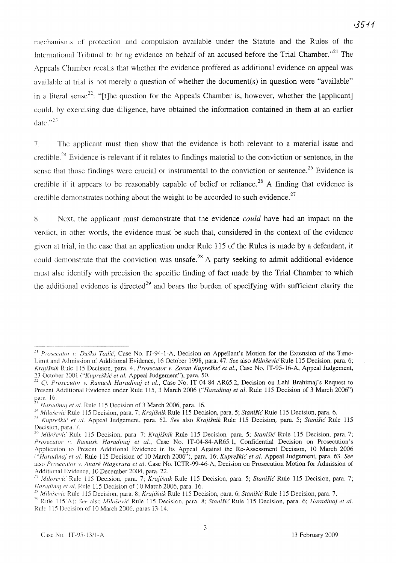mechanisms of protection and compulsion available under the Statute and the Rules of the International Tribunal to bring evidence on behalf of an accused before the Trial Chamber."<sup>21</sup> The Appeals Chamber recalls that whether the evidence proffered as additional evidence on appeal was available at trial is not merely a question of whether the document(s) in question were "available" in a literal sense<sup>22</sup>: "[t]he question for the Appeals Chamber is, however, whether the [applicant] could, by exercising due diligence, have obtained the information contained in them at an earlier date." $^{123}$ 

7. The applicant must then show that the evidence is both relevant to a material issue and credible.<sup>24</sup> Evidence is relevant if it relates to findings material to the conviction or sentence, in the sense that those findings were crucial or instrumental to the conviction or sentence.<sup>25</sup> Evidence is credible if it appears to be reasonably capable of belief or reliance.<sup>26</sup> A finding that evidence is credible demonstrates nothing about the weight to be accorded to such evidence.<sup>27</sup>

X. Next, the applicant must demonstrate that the evidence *could* have had an impact on the verdict, in other words, the evidence must be such that, considered in the context of the evidence given at trial, in the case that an application under Rule 115 of the Rules is made by a defendant, it could demonstrate that the conviction was unsafe.<sup>28</sup> A party seeking to admit additional evidence must also identify with precision the specific finding of fact made by the Trial Chamber to which the additional evidence is directed<sup>29</sup> and bears the burden of specifying with sufficient clarity the

<sup>.:1</sup> *Prosecutor v. Dusko Tadic,* Case No. IT-94-1-A, Decision on Appellant's Motion for the Extension of the Time-Limit and Admission of Additional Evidence, 16 October 1998, para. 47. *See* also *Milosevic* Rule 115 Decision, para. 6; *Krajisnik* Rule lIS Decision, para. 4; *Prosecutor v. Zoran* Kupreskic *et al.,* Case No. IT-95-I6-A, Appeal Judgement, 23 Octo her 2001 *C'Kupreskic' et al.* Appeal Judgement"), para. 50.

*n Cf Prosecutor v. Ramush Haradinaj et al.,* Case No. IT-04-84-AR65.2, Decision on Lahi Brahimaj's Request to Present Additional Evidence under Rule 115, 3 March 2006 *("Haradinaj et al.* Rule 115 Decision of 3 March 2006") para 16.

*Haradinaj et al.* Rule 115 Decision of 3 March 2006, para. 16.

<sup>&</sup>lt;sup>24</sup> Milošević Rule 115 Decision, para. 7; Krajišnik Rule 115 Decision, para. 5; *Stanišić* Rule 115 Decision, para. 6.

<sup>::)</sup> *Kupresku! et al.* Appeal Judgement, para. 62. *See* also *Krajisnik* Rule lIS Decision, para. 5; *Stanisic* Rule 115 DeCision, para, 7,

<sup>&</sup>lt;sup>26</sup> Miloševic Rule 115 Decision, para. 7; *Krajišnik* Rule 115 Decision, para. 5; *Stanišić* Rule 115 Decision, para. 7; *Prosecutor v. Ramush Haradinaj et al.,* Case No. IT-04-84-AR65.1, Confidential Decision on Prosecution's Application to Present Additional Evidence in Its Appeal Against the Re-Assessment Decision, 10 March 2006 *C'Haradinaj et al.* Rule I IS Decision of 10 March 2006"), para. 16; *Kupreskic et al.* Appeal Judgement, para. 63. *See* also *Prosecutor* \" Andre *Ntagerura et al.* Case No. ICTR-99-46-A, Decision on Prosecution Motion for Admission of Additional Evidence, 10 December 2004, para, 22.

*n Milosevic* Rule lIS Decision, para. 7; *Krajisnik* Rule 115 Decision, para, 5; *Stanisic* Rule 115 Decision, para. 7; *Har.ulina] et at.* Rule 115 Decision of 10 March 2006, para. 16.

<sup>.&#</sup>x27;X Milosevic Rule J 15 Decision, para. 8; Krajisnik Rule 115 Decision, para. 6; Stanisic Rule I 15 Decision, para. 7.

<sup>&</sup>lt;sup>29</sup> Rule 115(A); *See* also *Milošević* Rule 115 Decision, para. 8; *Stanišić* Rule 115 Decision, para. 6; *Haradinaj et al.* Rule J 15 Decision of 10 March 2006. paras 13-14.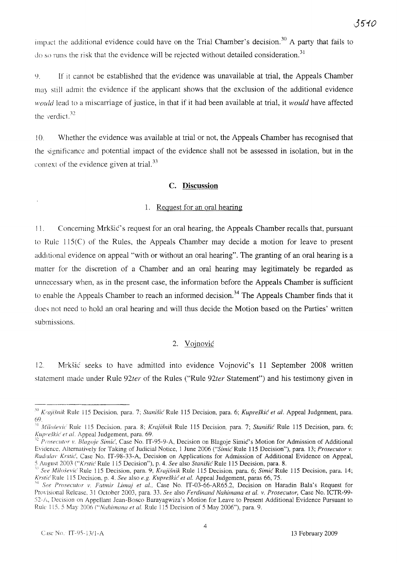impact the additional evidence could have on the Trial Chamber's decision.<sup>30</sup> A party that fails to  $\alpha$  so runs the risk that the evidence will be rejected without detailed consideration.<sup>31</sup>

l). If it cannot be established that the evidence was unavailable at trial, the Appeals Chamber may still admit the evidence if the applicant shows that the exclusion of the additional evidence *would* lead to a miscarriage of justice, in that if it had been available at trial, it *would* have affected the verdict. $32$ 

10. Whether the evidence was available at trial or not, the Appeals Chamber has recognised that the significance and potential impact of the evidence shall not be assessed in isolation, but in the context of the evidence given at trial.<sup>33</sup>

### **c. Discussion**

## 1. Request for an oral hearing

I 1. Concerning Mrksic's request for an oral hearing, the Appeals Chamber recalls that, pursuant to Rule l15(C) of the Rules, the Appeals Chamber may decide a motion for leave to present additional evidence on appeal "with or without an oral hearing". The granting of an oral hearing is a matter for the discretion of a Chamber and an oral hearing may legitimately be regarded as unnecessary when, as in the present case, the information before the Appeals Chamber is sufficient to enable the Appeals Chamber to reach an informed decision.<sup>34</sup> The Appeals Chamber finds that it does not need to hold an oral hearing and will thus decide the Motion based on the Parties' written submissions.

#### 2. Vojnovic

12. Mrksic seeks to have admitted into evidence Vojnovic's 11 September 2008 written statement made under Rule *92ter* of the Rules ("Rule *92ter* Statement") and his testimony given in

<sup>&</sup>lt;sup>30</sup> Krajišnik Rule 115 Decision, para. 7; *Stanišić* Rule 115 Decision, para. 6; *Kupreškić et al.* Appeal Judgement, para. 69.

<sup>,</sup>I Milosevi« Rule lIS Decision, para. 8; *Krajisnik* Rule llS Decision, para. 7; Stanisic Rule *llS* Decision, para. 6; *Kupreskic et al.* Appeal Judgement, para. 69. *Kupreškić et al.* Appeal Judgement, para. 69.<br><sup>32</sup> Prosecutor v. Blagoje Simić, Case No. IT-95-9-A, Decision on Blagoje Simić's Motion for Admission of Additional

Evidence, Alternatively for Taking of Judicial Notice, 1 June 2006 ("Simic'Rule 115 Decision"), para. 13; *Prosecutor v. Radislav Krstic,* Case No. IT-98-33-A, Decision on Applications for Admission of Additional Evidence on Appeal, 5 August 2003 *("Krstie'Rule* liS Decision"), p. 4. *See* also *Stani.fie'Rule lIS* Decision, para. 8.

<sup>H</sup> *See Milosevu:* Rule 115 Decision, para. 9; *Krajisuik* Rule 115 Decision, para. 6; *Simic* Rule 115 Decision, para. 14; *Krstic* Rule 115 Decision, p. 4. *See* also *e.g. Kupreškić et al.* Appeal Judgement, paras 66, 75.

*<sup>,4</sup> See Prosecutor v. Fatmir Lima} et al.,* Case No. IT-03-66-AR65.2, Decision on Haradin Bala's Request for Provisional Release, 31 October 2003, para. 33. See also *Ferdinand Nahimana et al. v. Prosecutor*, Case No. ICTR-99-52-A, Decision on Appellant Jean-Bosco Barayagwiza's Motion for Leave to Present Additional Evidence Pursuant to Rule 115. 5 May 2006 ("Nahimana et al. Rule 115 Decision of 5 May 2006"), para. 9.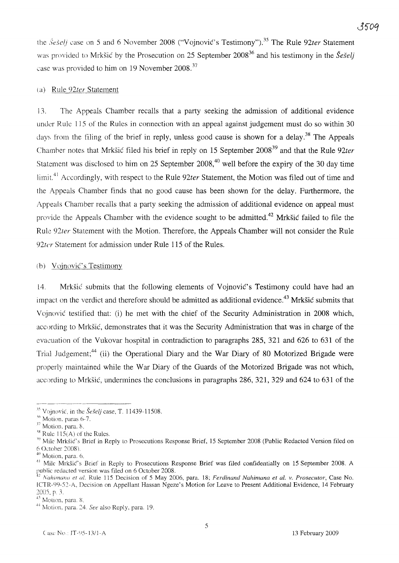the *Šešelj* case on 5 and 6 November 2008 ("Vojnović's Testimony").<sup>35</sup> The Rule 92ter Statement was provided to Mrkšić by the Prosecution on 25 September 2008<sup>36</sup> and his testimony in the *Šešelj* case was provided to him on 19 November 2008.<sup>37</sup>

### (a) Rule *92ter* Statement

J3. The Appeals Chamber recalls that a party seeking the admission of additional evidence under Rule 115 of the Rules in connection with an appeal against judgement must do so within 30 days from the filing of the brief in reply, unless good cause is shown for a delay.<sup>38</sup> The Appeals Chamber notes that Mrksic filed his brief in reply on 15 September 2008 <sup>39</sup> and that the Rule *92ter* Statement was disclosed to him on 25 September  $2008<sup>40</sup>$  well before the expiry of the 30 day time limit.<sup>41</sup> Accordingly, with respect to the Rule 92ter Statement, the Motion was filed out of time and the Appeals Chamber finds that no good cause has been shown for the delay. Furthermore, the Appeals Chamber recalls that a party seeking the admission of additional evidence on appeal must provide the Appeals Chamber with the evidence sought to be admitted.<sup>42</sup> Mrkšić failed to file the Rule *92ter* Statement with the Motion. Therefore, the Appeals Chamber will not consider the Rule *92tcr* Statement for admission under Rule 115 of the Rules.

#### (b) Vojnović's Testimony

14. Mrksic submits that the following elements of Vojnovic's Testimony could have had an impact on the verdict and therefore should be admitted as additional evidence.<sup>43</sup> Mrkšić submits that Vojnovic testified that: (i) he met with the chief of the Security Administration in 2008 which, according to Mrksic, demonstrates that it was the Security Administration that was in charge of the evacuation of the Vukovar hospital in contradiction to paragraphs 285, 321 and 626 to 631 of the Trial Judgement;<sup>44</sup> (ii) the Operational Diary and the War Diary of 80 Motorized Brigade were properly maintained while the War Diary of the Guards of the Motorized Brigade was not which, according to Mrksic, undermines the conclusions in paragraphs 286, 321, 329 and 624 to 631 of the

ጻፍሰር

<sup>&</sup>lt;sup>35</sup> Voinović, in the *Šešeli* case, T. 11439-11508.

 $\frac{36}{10}$  Motion. paras 6-7.

 $37$  Motion, para.  $8$ .

<sup>&</sup>lt;sup>18</sup> Rule 115(A) of the Rules.

<sup>&</sup>lt;sup>19</sup> Mile Mrkšić's Brief in Reply to Prosecutions Response Brief, 15 September 2008 (Public Redacted Version filed on 6 October 2008).

 $40$  Motion, para. 6.

<sup>&</sup>lt;sup>41</sup> Mile Mrkšić's Brief in Reply to Prosecutions Response Brief was filed confidentially on 15 September 2008. A public redacted version was filed on 6 October 2008.

<sup>&</sup>lt;sup>42</sup> Nahimana et al. Rule 115 Decision of 5 May 2006, para. 18; *Ferdinand Nahimana et al.* v. *Prosecutor*, Case No. ICTR-99-52-A, Decision on Appellant Hassan Ngeze's Motion for Leave to Present Additional Evidence, 14 February  $2005$ , p.  $3.1$ 

<sup>&</sup>lt;sup>43</sup> Motion, para. 8.

<sup>.\4</sup> Motion. para. 24. *See* also Reply, para. 19.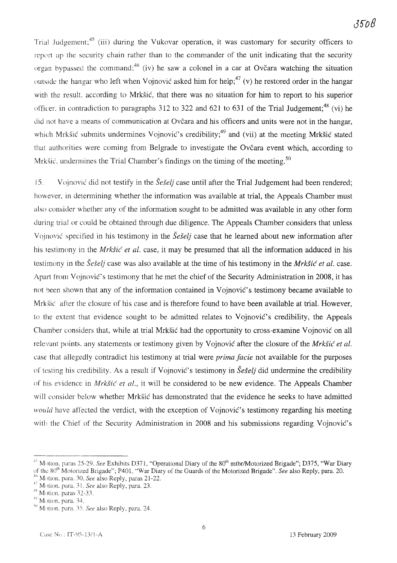Trial Judgement;  $45$  (iii) during the Vukovar operation, it was customary for security officers to report up the security chain rather than to the commander of the unit indicating that the security organ bypassed the command;<sup>46</sup> (iv) he saw a colonel in a car at Ovcara watching the situation outside the hangar who left when Vojnović asked him for help;<sup>47</sup> (v) he restored order in the hangar with the result, according to Mrkšić, that there was no situation for him to report to his superior officer. in contradiction to paragraphs 312 to 322 and 621 to 631 of the Trial Judgement;<sup>48</sup> (vi) he did not have a means of communication at Ovčara and his officers and units were not in the hangar, which Mrkšić submits undermines Vojnović's credibility;<sup>49</sup> and (vii) at the meeting Mrkšić stated that authorities were coming from Belgrade to investigate the Ovčara event which, according to Mrkšić, undermines the Trial Chamber's findings on the timing of the meeting.<sup>50</sup>

15. Vojnovic did not testify in the *SeSelj* case until after the Trial Judgement had been rendered; however, in determining whether the information was available at trial, the Appeals Chamber must also consider whether any of the information sought to be admitted was available in any other form during trial or could be obtained through due diligence. The Appeals Chamber considers that unless Vojnovic specified in his testimony in the *SeSet}* case that he learned about new information after his testimony in the *Mrksic et at.* case, it may be presumed that all the information adduced in his testimony in the *Sesel]* case was also available at the time of his testimony in the *Mrksic et at.* case. Apart from Vojnovic's testimony that he met the chief of the Security Administration in 2008, it has not been shown that any of the information contained in Vojnovic's testimony became available to Mrksic after the closure of his case and is therefore found to have been available at trial. However, to the extent that evidence sought to be admitted relates to Vojnovic's credibility, the Appeals Chamber considers that, while at trial Mrksic had the opportunity to cross-examine Vojnovic on all relevant points, any statements or testimony given by Vojnovic after the closure of the *Mrksic et at.* case that allegedly contradict his testimony at trial were *prima facie* not available for the purposes of testing his credibility. As a result if Vojnovic's testimony in *Seselj* did undermine the credibility of his evidence in *Mrksic et al.,* it will be considered to be new evidence. The Appeals Chamber will consider below whether Mrkšić has demonstrated that the evidence he seeks to have admitted *would* have affected the verdict, with the exception of Vojnović's testimony regarding his meeting with the Chief of the Security Administration in 2008 and his submissions regarding Vojnovic's

<sup>&</sup>lt;sup>45</sup> Motion, paras 25-29. *See* Exhibits D371, "Operational Diary of the 80<sup>th</sup> mtbr/Motorized Brigade"; D375, "War Diary of the 80<sup>th</sup> Motorized Brigade"; P401, "War Diary of the Guards of the Motorized Brigade". *See* also Reply, para. 20

<sup>&</sup>lt;sup>16</sup> Motion, para. 30. *See* also Reply, paras 21-22.

<sup>&</sup>lt;sup>47</sup> Motion. para. 31. *See* also Reply, para. 23.

 $\frac{48}{10}$  Motion, paras 32-33.

 $<sup>49</sup>$  Motion, para. 34.</sup>

<sup>\11</sup> Motion. para. 35. *See* also Reply, para. 24.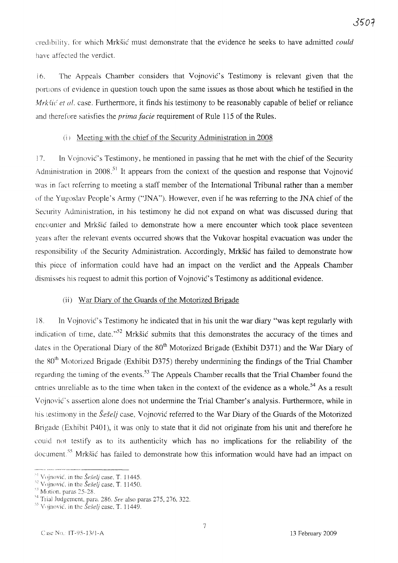credibility. for which Mrksic must demonstrate that the evidence he seeks to have admitted *could* have affected the verdict.

16. The Appeals Chamber considers that Vojnovic's Testimony is relevant given that the portions of evidence in question touch upon the same issues as those about which he testified in the *Mrkšić et al.* case. Furthermore, it finds his testimony to be reasonably capable of belief or reliance and therefore satisfies the *prima facie* requirement of Rule 115 of the Rules.

## $(i)$  Meeting with the chief of the Security Administration in 2008

17. In Vojnović's Testimony, he mentioned in passing that he met with the chief of the Security Administration in 2008.<sup>51</sup> It appears from the context of the question and response that Vojnović was in fact referring to meeting a staff member of the International Tribunal rather than a member of the Yugoslav People's Army ("JNA"). However, even if he was referring to the JNA chief of the Security Administration, in his testimony he did not expand on what was discussed during that encounter and Mrksic failed to demonstrate how a mere encounter which took place seventeen years after the relevant events occurred shows that the Vukovar hospital evacuation was under the responsibility of the Security Administration. Accordingly, Mrksic has failed to demonstrate how this piece of information could have had an impact on the verdict and the Appeals Chamber dismisses his request to admit this portion of Vojnovic's Testimony as additional evidence.

# (ii) War Diary of the Guards of the Motorized Brigade

18. In Vojnovic's Testimony he indicated that in his unit the war diary "was kept regularly with indication of time, date.<sup> $,52$ </sup> Mrkšić submits that this demonstrates the accuracy of the times and dates in the Operational Diary of the 80<sup>th</sup> Motorized Brigade (Exhibit D371) and the War Diary of the 80<sup>th</sup> Motorized Brigade (Exhibit D375) thereby undermining the findings of the Trial Chamber regarding the timing of the events.<sup>53</sup> The Appeals Chamber recalls that the Trial Chamber found the entries unreliable as to the time when taken in the context of the evidence as a whole.<sup>54</sup> As a result Vojnović's assertion alone does not undermine the Trial Chamber's analysis. Furthermore, while in his testimony in the *Šešelj* case, Vojnović referred to the War Diary of the Guards of the Motorized Brigade (Exhibit P401), it was only to state that it did not originate from his unit and therefore he could not testify as to its authenticity which has no implications for the reliability of the document.<sup>55</sup> Mrkšić has failed to demonstrate how this information would have had an impact on

---~----------

<sup>&</sup>lt;sup>1</sup> Vojnović, in the *Šešelj* case, T. 11445.

Vojnović, in the *Šešelj* case, T. 11450.

 $\degree$  Motion, paras 25-28.

<sup>&#</sup>x27;4 Trial Judgement. para. 286. *See* also paras 275, 276. 322.

<sup>&</sup>lt;sup>55</sup> Vojnović, in the *Šešelj* case, T. 11449.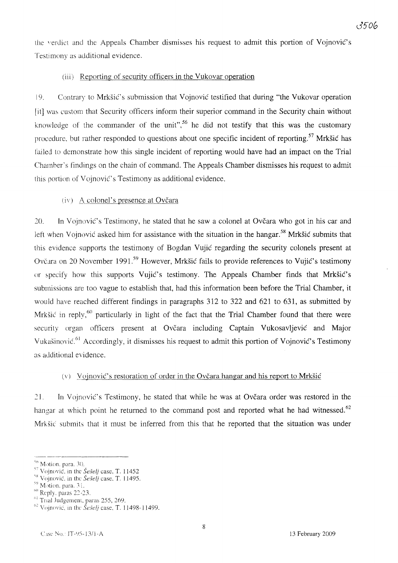the verdict and the Appeals Chamber dismisses his request to admit this portion of Vojnovic's Testimony as additional evidence.

## (iii) Reporting of security officers in the Vukovar operation

19. Contrary to Mrksic's submission that Vojnovic testified that during "the Vukovar operation lit] was custom that Security officers inform their superior command in the Security chain without knowledge of the commander of the unit".<sup>56</sup> he did not testify that this was the customary procedure, but rather responded to questions about one specific incident of reporting.<sup>57</sup> Mrkšić has failed to demonstrate how this single incident of reporting would have had an impact on the Trial Chamber's findings on the chain of command. The Appeals Chamber dismisses his request to admit this portion of Vojnović's Testimony as additional evidence.

## (iv) A colonel's presence at Ovčara

20. In Vojnović's Testimony, he stated that he saw a colonel at Ovčara who got in his car and left when Vojnović asked him for assistance with the situation in the hangar.<sup>58</sup> Mrkšić submits that this evidence supports the testimony of Bogdan Vujic regarding the security colonels present at Ovčara on 20 November 1991.<sup>59</sup> However, Mrkšić fails to provide references to Vujić's testimony or specify how this supports Vujic's testimony. The Appeals Chamber finds that Mrksic's submissions are too vague to establish that, had this information been before the Trial Chamber, it would have reached different findings in paragraphs 312 to 322 and 621 to 631, as submitted by Mrkšić in reply,  $60$  particularly in light of the fact that the Trial Chamber found that there were security organ officers present at Ovčara including Captain Vukosavljević and Major Vukašinović.<sup>61</sup> Accordingly, it dismisses his request to admit this portion of Vojnović's Testimony as additional evidence.

## (v) Vojnović's restoration of order in the Ovčara hangar and his report to Mrkšić

21. In Vojnovic's Testimony, he stated that while he was at Ovcara order was restored in the hangar at which point he returned to the command post and reported what he had witnessed.<sup>62</sup> Mrksic submits that it must be inferred from this that he reported that the situation was under

<sup>56</sup> Motion, para. 30.

<sup>&</sup>lt;sup>57</sup> Vojnović, in the *Šešelj* case, T. 11452

<sup>&</sup>lt;sup>58</sup> Vojnović, in the *Šešelj* case, T. 11495.

 $\rm{^{\circ}}$  Motion, para. 31.

 $\frac{60}{1}$  Reply. paras 22-23.

 $\frac{1}{1}$ Trial Judgement, paras 255, 269.

 $^{62}$  Voinović, in the *Šešelj* case, T. 11498-11499.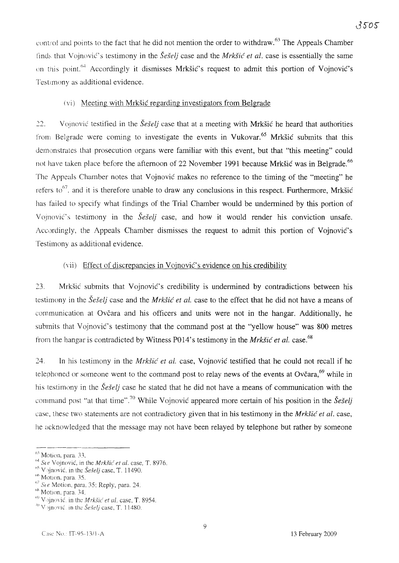control and points to the fact that he did not mention the order to withdraw.<sup>63</sup> The Appeals Chamber finds that Vojnović's testimony in the *Šešelj* case and the *Mrkšić et al.* case is essentially the same on this point.<sup>64</sup> Accordingly it dismisses Mrkšić's request to admit this portion of Vojnović's Testimony as additional evidence.

### (vi) Meeting with Mrksic regarding investigators from Belgrade

22. Vojnovic testified in the *SeSeI}* case that at a meeting with Mrksic he heard that authorities from Belgrade were coming to investigate the events in Vukovar.<sup>65</sup> Mrkšić submits that this demonstrates that prosecution organs were familiar with this event, but that "this meeting" could not have taken place before the afternoon of 22 November 1991 because Mrkšić was in Belgrade.<sup>66</sup> The Appeals Chamber notes that Vojnovic makes no reference to the timing of the "meeting" he refers to<sup>67</sup>. and it is therefore unable to draw any conclusions in this respect. Furthermore, Mrkšić has failed to specify what findings of the Trial Chamber would be undermined by this portion of Vojnović's testimony in the *Šešelj* case, and how it would render his conviction unsafe. Accordingly, the Appeals Chamber dismisses the request to admit this portion of Vojnovic's Testimony as additional evidence.

### (vii) Effect of discrepancies in Vojnovic's evidence on his credibility

23. Mrksic submits that Vojnovic's credibility is undermined by contradictions between his testimony in the *Šešelj* case and the *Mrkšić et al.* case to the effect that he did not have a means of communication at Ovčara and his officers and units were not in the hangar. Additionally, he submits that Vojnovic's testimony that the command post at the "yellow house" was 800 metres from the hangar is contradicted by Witness P014's testimony in the *Mrksic et al.* case. 68

24. In his testimony in the *Mrksic et al.* case, Vojnovic testified that he could not recall if he telephoned or someone went to the command post to relay news of the events at Ovčara,  $69$  while in his testimony in the *SeSeI}* case he stated that he did not have a means of communication with the command post "at that time".<sup>70</sup> While Vojnović appeared more certain of his position in the *Seselj* case, these two statements are not contradictory given that in his testimony in the *Mrksic et al,* case, he acknowledged that the message may not have been relayed by telephone but rather by someone

 $<sup>63</sup>$  Motion, para, 33.</sup>

<sup>&</sup>lt;sup>14</sup> See Vojnović, in the *Mrkšić et al.* case, T. 8976.

 $10^5$  Vojnović, in the Seselj case, T. 11490.

<sup>&</sup>lt;sup>06</sup> Motion, para. 35.

 $h^7$  See Motion, para. 35; Reply, para. 24.

*h'* Motion, para. 34.

*Oi)* Vojnovic. in the M*rksu: et* al. case, T. 8954.

<sup>&</sup>lt;sup>10</sup> Vojnović, in the Šešelj case, T. 11480.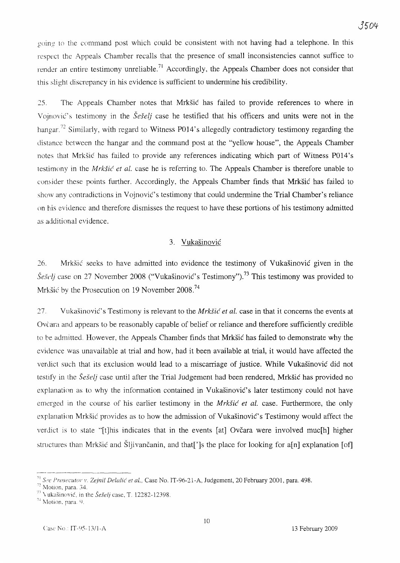guing to the command post which could be consistent with not having had a telephone. In this respect the Appeals Chamber recalls that the presence of small inconsistencies cannot suffice to render an entire testimony unreliable.<sup>71</sup> Accordingly, the Appeals Chamber does not consider that this slight discrepancy in his evidence is sufficient to undermine his credibility.

25. The Appeals Chamber notes that Mrksic has failed to provide references to where in Vojnovic's testimony in the Seselj case he testified that his officers and units were not in the hangar.<sup>72</sup> Similarly, with regard to Witness P014's allegedly contradictory testimony regarding the distance between the hangar and the command post at the "yellow house", the Appeals Chamber notes that Mrksic has failed to provide any references indicating which part of Witness P014's testimony in the *Mrksic et al.* case he is referring to. The Appeals Chamber is therefore unable to consider these points further. Accordingly, the Appeals Chamber finds that Mrksic has failed to show any contradictions in Vojnovic's testimony that could undermine the Trial Chamber's reliance on his evidence and therefore dismisses the request to have these portions of his testimony admitted as additional evidence.

### 3. Vukasinovic

26. Mrksic seeks to have admitted into evidence the testimony of Vukasinovic given in the  $\widetilde{S}e\widetilde{S}eIj$  case on 27 November 2008 ("Vukašinović's Testimony").<sup>73</sup> This testimony was provided to Mrkšić by the Prosecution on 19 November 2008.<sup>74</sup>

27. Vukasinovic's Testimony is relevant to the *Mrksic et al.* case in that it concerns the events at Ovcara and appears to be reasonably capable of belief or reliance and therefore sufficiently credible to be admitted. However, the Appeals Chamber finds that Mrksic has failed to demonstrate why the evidence was unavailable at trial and how, had it been available at trial, it would have affected the verdict such that its exclusion would lead to a miscarriage of justice. While Vukasinovic did not testify in the *Sesel]* case until after the Trial Judgement had been rendered, Mrksic has provided no explanation as to why the information contained in Vukasinovic's later testimony could not have emerged in the course of his earlier testimony in the *Mrksic et al.* case. Furthermore, the only explanation Mrksic provides as to how the admission of Vukasinovic's Testimony would affect the verdict is to state "[t]his indicates that in the events [at] Ovčara were involved muc[h] higher structures than Mrkšić and Šljivančanin, and that<sup>['</sup>]s the place for looking for a<sup>[n]</sup> explanation [of]

<sup>------------</sup> *<sup>71</sup> See Prosecutor* \' *Zejnil Delalic et al.,* Case No. IT-96-21-A, Judgement, 20 February 2001, para. 498.

<sup>72</sup> Motion, para. 34.

<sup>&</sup>lt;sup>73</sup> Vukašinović, in the *Šešelj* case, T. 12282-12398.

 $74$  Motion, para. 9.